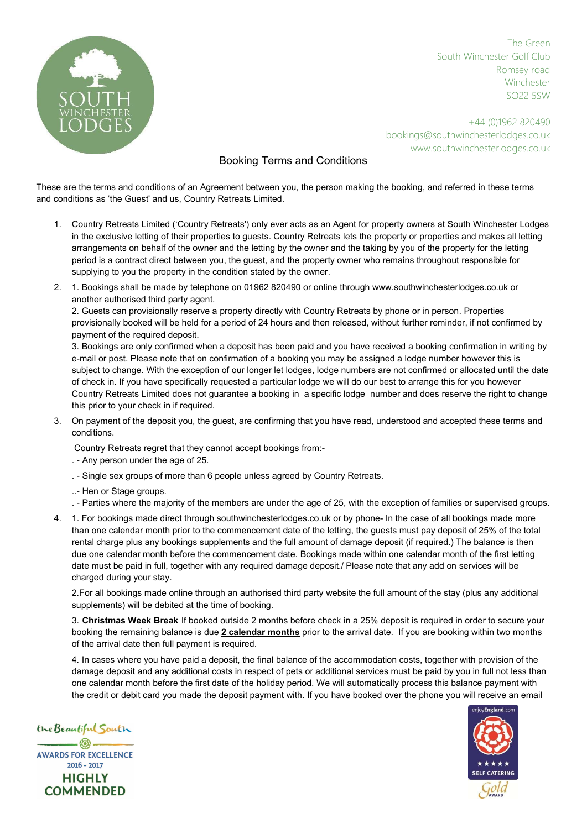

The Green South Winchester Golf Club Romsey road Winchester SO22 5SW

+44 (0)1962 820490 bookings@southwinchesterlodges.co.uk www.southwinchesterlodges.co.uk

## Booking Terms and Conditions

These are the terms and conditions of an Agreement between you, the person making the booking, and referred in these terms and conditions as 'the Guest' and us, Country Retreats Limited.

- 1. Country Retreats Limited ('Country Retreats') only ever acts as an Agent for property owners at South Winchester Lodges in the exclusive letting of their properties to guests. Country Retreats lets the property or properties and makes all letting arrangements on behalf of the owner and the letting by the owner and the taking by you of the property for the letting period is a contract direct between you, the guest, and the property owner who remains throughout responsible for supplying to you the property in the condition stated by the owner.
- 2. 1. Bookings shall be made by telephone on 01962 820490 or online through www.southwinchesterlodges.co.uk or another authorised third party agent.

2. Guests can provisionally reserve a property directly with Country Retreats by phone or in person. Properties provisionally booked will be held for a period of 24 hours and then released, without further reminder, if not confirmed by payment of the required deposit.

3. Bookings are only confirmed when a deposit has been paid and you have received a booking confirmation in writing by e-mail or post. Please note that on confirmation of a booking you may be assigned a lodge number however this is subject to change. With the exception of our longer let lodges, lodge numbers are not confirmed or allocated until the date of check in. If you have specifically requested a particular lodge we will do our best to arrange this for you however Country Retreats Limited does not guarantee a booking in a specific lodge number and does reserve the right to change this prior to your check in if required.

- 3. On payment of the deposit you, the guest, are confirming that you have read, understood and accepted these terms and conditions.
	- Country Retreats regret that they cannot accept bookings from:-
	- . Any person under the age of 25.
	- . Single sex groups of more than 6 people unless agreed by Country Retreats.
	- ..- Hen or Stage groups.
	- . Parties where the majority of the members are under the age of 25, with the exception of families or supervised groups.
- 4. 1. For bookings made direct through southwinchesterlodges.co.uk or by phone- In the case of all bookings made more than one calendar month prior to the commencement date of the letting, the guests must pay deposit of 25% of the total rental charge plus any bookings supplements and the full amount of damage deposit (if required.) The balance is then due one calendar month before the commencement date. Bookings made within one calendar month of the first letting date must be paid in full, together with any required damage deposit./ Please note that any add on services will be charged during your stay.

2.For all bookings made online through an authorised third party website the full amount of the stay (plus any additional supplements) will be debited at the time of booking.

3. Christmas Week Break If booked outside 2 months before check in a 25% deposit is required in order to secure your booking the remaining balance is due 2 calendar months prior to the arrival date. If you are booking within two months of the arrival date then full payment is required.

4. In cases where you have paid a deposit, the final balance of the accommodation costs, together with provision of the damage deposit and any additional costs in respect of pets or additional services must be paid by you in full not less than one calendar month before the first date of the holiday period. We will automatically process this balance payment with the credit or debit card you made the deposit payment with. If you have booked over the phone you will receive an email

the Beautiful South  $-$  (8)  $-$ **AWARDS FOR EXCELLENCE**  $2016 - 2017$ **HIGHLY COMMENDED** 

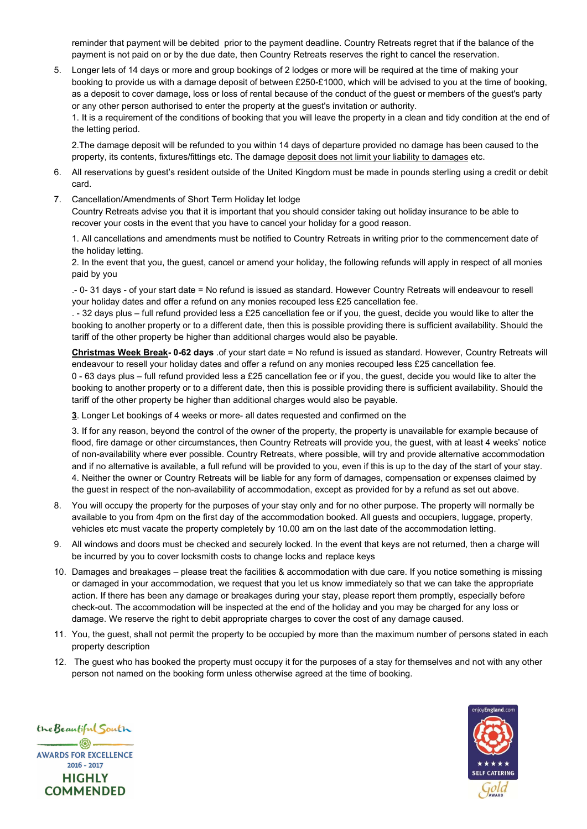reminder that payment will be debited prior to the payment deadline. Country Retreats regret that if the balance of the payment is not paid on or by the due date, then Country Retreats reserves the right to cancel the reservation.

5. Longer lets of 14 days or more and group bookings of 2 lodges or more will be required at the time of making your booking to provide us with a damage deposit of between £250-£1000, which will be advised to you at the time of booking, as a deposit to cover damage, loss or loss of rental because of the conduct of the guest or members of the guest's party or any other person authorised to enter the property at the guest's invitation or authority.

1. It is a requirement of the conditions of booking that you will leave the property in a clean and tidy condition at the end of the letting period.

2.The damage deposit will be refunded to you within 14 days of departure provided no damage has been caused to the property, its contents, fixtures/fittings etc. The damage deposit does not limit your liability to damages etc.

- 6. All reservations by guest's resident outside of the United Kingdom must be made in pounds sterling using a credit or debit card.
- 7. Cancellation/Amendments of Short Term Holiday let lodge

Country Retreats advise you that it is important that you should consider taking out holiday insurance to be able to recover your costs in the event that you have to cancel your holiday for a good reason.

1. All cancellations and amendments must be notified to Country Retreats in writing prior to the commencement date of the holiday letting.

2. In the event that you, the guest, cancel or amend your holiday, the following refunds will apply in respect of all monies paid by you

.- 0- 31 days - of your start date = No refund is issued as standard. However Country Retreats will endeavour to resell your holiday dates and offer a refund on any monies recouped less £25 cancellation fee.

. - 32 days plus – full refund provided less a £25 cancellation fee or if you, the guest, decide you would like to alter the booking to another property or to a different date, then this is possible providing there is sufficient availability. Should the tariff of the other property be higher than additional charges would also be payable.

Christmas Week Break- 0-62 days .of your start date = No refund is issued as standard. However, Country Retreats will endeavour to resell your holiday dates and offer a refund on any monies recouped less £25 cancellation fee. 0 - 63 days plus – full refund provided less a £25 cancellation fee or if you, the guest, decide you would like to alter the booking to another property or to a different date, then this is possible providing there is sufficient availability. Should the tariff of the other property be higher than additional charges would also be payable.

3. Longer Let bookings of 4 weeks or more- all dates requested and confirmed on the

3. If for any reason, beyond the control of the owner of the property, the property is unavailable for example because of flood, fire damage or other circumstances, then Country Retreats will provide you, the guest, with at least 4 weeks' notice of non-availability where ever possible. Country Retreats, where possible, will try and provide alternative accommodation and if no alternative is available, a full refund will be provided to you, even if this is up to the day of the start of your stay. 4. Neither the owner or Country Retreats will be liable for any form of damages, compensation or expenses claimed by the guest in respect of the non-availability of accommodation, except as provided for by a refund as set out above.

- 8. You will occupy the property for the purposes of your stay only and for no other purpose. The property will normally be available to you from 4pm on the first day of the accommodation booked. All guests and occupiers, luggage, property, vehicles etc must vacate the property completely by 10.00 am on the last date of the accommodation letting.
- 9. All windows and doors must be checked and securely locked. In the event that keys are not returned, then a charge will be incurred by you to cover locksmith costs to change locks and replace keys
- 10. Damages and breakages please treat the facilities & accommodation with due care. If you notice something is missing or damaged in your accommodation, we request that you let us know immediately so that we can take the appropriate action. If there has been any damage or breakages during your stay, please report them promptly, especially before check-out. The accommodation will be inspected at the end of the holiday and you may be charged for any loss or damage. We reserve the right to debit appropriate charges to cover the cost of any damage caused.
- 11. You, the guest, shall not permit the property to be occupied by more than the maximum number of persons stated in each property description
- 12. The guest who has booked the property must occupy it for the purposes of a stay for themselves and not with any other person not named on the booking form unless otherwise agreed at the time of booking.



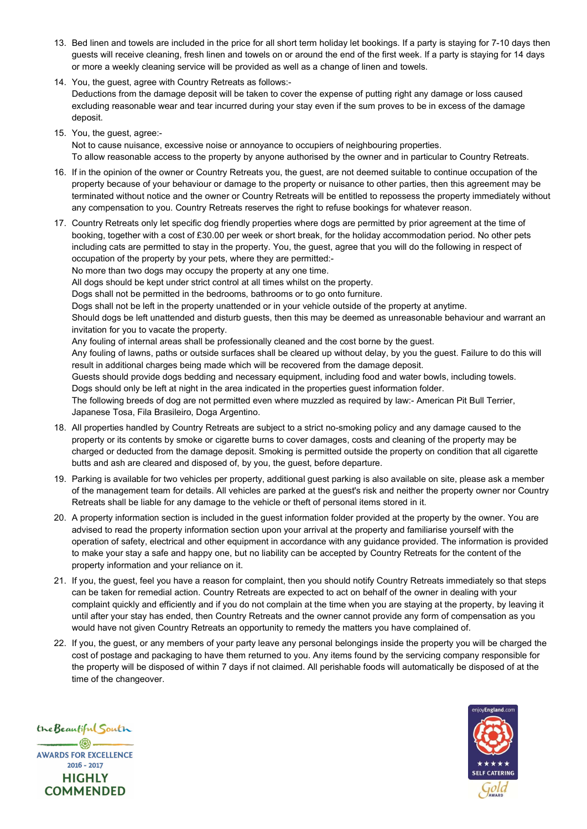- 13. Bed linen and towels are included in the price for all short term holiday let bookings. If a party is staying for 7-10 days then guests will receive cleaning, fresh linen and towels on or around the end of the first week. If a party is staying for 14 days or more a weekly cleaning service will be provided as well as a change of linen and towels.
- 14. You, the guest, agree with Country Retreats as follows:-

Deductions from the damage deposit will be taken to cover the expense of putting right any damage or loss caused excluding reasonable wear and tear incurred during your stay even if the sum proves to be in excess of the damage deposit.

15. You, the guest, agree:-

Not to cause nuisance, excessive noise or annoyance to occupiers of neighbouring properties. To allow reasonable access to the property by anyone authorised by the owner and in particular to Country Retreats.

- 16. If in the opinion of the owner or Country Retreats you, the guest, are not deemed suitable to continue occupation of the property because of your behaviour or damage to the property or nuisance to other parties, then this agreement may be terminated without notice and the owner or Country Retreats will be entitled to repossess the property immediately without any compensation to you. Country Retreats reserves the right to refuse bookings for whatever reason.
- 17. Country Retreats only let specific dog friendly properties where dogs are permitted by prior agreement at the time of booking, together with a cost of £30.00 per week or short break, for the holiday accommodation period. No other pets including cats are permitted to stay in the property. You, the guest, agree that you will do the following in respect of occupation of the property by your pets, where they are permitted:-

No more than two dogs may occupy the property at any one time.

All dogs should be kept under strict control at all times whilst on the property.

Dogs shall not be permitted in the bedrooms, bathrooms or to go onto furniture.

Dogs shall not be left in the property unattended or in your vehicle outside of the property at anytime.

Should dogs be left unattended and disturb guests, then this may be deemed as unreasonable behaviour and warrant an invitation for you to vacate the property.

Any fouling of internal areas shall be professionally cleaned and the cost borne by the guest.

Any fouling of lawns, paths or outside surfaces shall be cleared up without delay, by you the guest. Failure to do this will result in additional charges being made which will be recovered from the damage deposit.

Guests should provide dogs bedding and necessary equipment, including food and water bowls, including towels.

Dogs should only be left at night in the area indicated in the properties guest information folder.

The following breeds of dog are not permitted even where muzzled as required by law:- American Pit Bull Terrier, Japanese Tosa, Fila Brasileiro, Doga Argentino.

- 18. All properties handled by Country Retreats are subject to a strict no-smoking policy and any damage caused to the property or its contents by smoke or cigarette burns to cover damages, costs and cleaning of the property may be charged or deducted from the damage deposit. Smoking is permitted outside the property on condition that all cigarette butts and ash are cleared and disposed of, by you, the guest, before departure.
- 19. Parking is available for two vehicles per property, additional guest parking is also available on site, please ask a member of the management team for details. All vehicles are parked at the guest's risk and neither the property owner nor Country Retreats shall be liable for any damage to the vehicle or theft of personal items stored in it.
- 20. A property information section is included in the guest information folder provided at the property by the owner. You are advised to read the property information section upon your arrival at the property and familiarise yourself with the operation of safety, electrical and other equipment in accordance with any guidance provided. The information is provided to make your stay a safe and happy one, but no liability can be accepted by Country Retreats for the content of the property information and your reliance on it.
- 21. If you, the guest, feel you have a reason for complaint, then you should notify Country Retreats immediately so that steps can be taken for remedial action. Country Retreats are expected to act on behalf of the owner in dealing with your complaint quickly and efficiently and if you do not complain at the time when you are staying at the property, by leaving it until after your stay has ended, then Country Retreats and the owner cannot provide any form of compensation as you would have not given Country Retreats an opportunity to remedy the matters you have complained of.
- 22. If you, the guest, or any members of your party leave any personal belongings inside the property you will be charged the cost of postage and packaging to have them returned to you. Any items found by the servicing company responsible for the property will be disposed of within 7 days if not claimed. All perishable foods will automatically be disposed of at the time of the changeover.